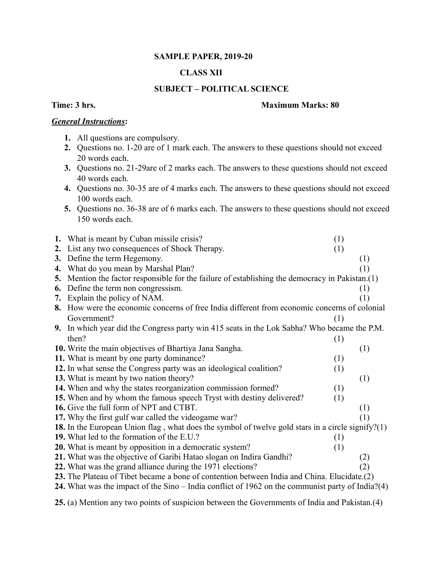### **SAMPLE PAPER, 2019-20**

# **CLASS XII**

## **SUBJECT – POLITICAL SCIENCE**

#### **Time: 3 hrs.** Maximum Marks: 80

#### *General Instructions***:**

- **1.** All questions are compulsory.
- **2.** Questions no. 1-20 are of 1 mark each. The answers to these questions should not exceed 20 words each.
- **3.** Questions no. 21-29are of 2 marks each. The answers to these questions should not exceed 40 words each.
- **4.** Questions no. 30-35 are of 4 marks each. The answers to these questions should not exceed 100 words each.
- **5.** Questions no. 36-38 are of 6 marks each. The answers to these questions should not exceed 150 words each.

|    | 1. What is meant by Cuban missile crisis?                                                         | (1) |                  |  |
|----|---------------------------------------------------------------------------------------------------|-----|------------------|--|
|    | 2. List any two consequences of Shock Therapy.                                                    | (1) |                  |  |
|    | 3. Define the term Hegemony.                                                                      |     | (1)              |  |
|    | 4. What do you mean by Marshal Plan?                                                              |     | (1)              |  |
|    | 5. Mention the factor responsible for the failure of establishing the democracy in Pakistan.(1)   |     |                  |  |
| 6. | Define the term non congressism.                                                                  |     | (1)              |  |
|    | 7. Explain the policy of NAM.                                                                     |     | $\left(1\right)$ |  |
|    | 8. How were the economic concerns of free India different from economic concerns of colonial      |     |                  |  |
|    | Government?                                                                                       | (1) |                  |  |
|    | 9. In which year did the Congress party win 415 seats in the Lok Sabha? Who became the P.M.       |     |                  |  |
|    | then?                                                                                             | (1) |                  |  |
|    | 10. Write the main objectives of Bhartiya Jana Sangha.                                            |     | (1)              |  |
|    | 11. What is meant by one party dominance?                                                         | (1) |                  |  |
|    | 12. In what sense the Congress party was an ideological coalition?                                | (1) |                  |  |
|    | 13. What is meant by two nation theory?                                                           |     | (1)              |  |
|    | 14. When and why the states reorganization commission formed?                                     | (1) |                  |  |
|    | 15. When and by whom the famous speech Tryst with destiny delivered?                              | (1) |                  |  |
|    | 16. Give the full form of NPT and CTBT.                                                           |     | (1)              |  |
|    | 17. Why the first gulf war called the videogame war?                                              |     | (1)              |  |
|    | 18. In the European Union flag, what does the symbol of twelve gold stars in a circle signify?(1) |     |                  |  |
|    | 19. What led to the formation of the E.U.?                                                        | (1) |                  |  |
|    | <b>20.</b> What is meant by opposition in a democratic system?                                    | (1) |                  |  |
|    | 21. What was the objective of Garibi Hatao slogan on Indira Gandhi?                               |     | (2)              |  |
|    | 22. What was the grand alliance during the 1971 elections?                                        |     | (2)              |  |
|    | 23. The Plateau of Tibet became a bone of contention between India and China. Elucidate. (2)      |     |                  |  |
|    | 24. What was the impact of the Sino – India conflict of 1962 on the communist party of India?(4)  |     |                  |  |

**25.** (a) Mention any two points of suspicion between the Governments of India and Pakistan.(4)